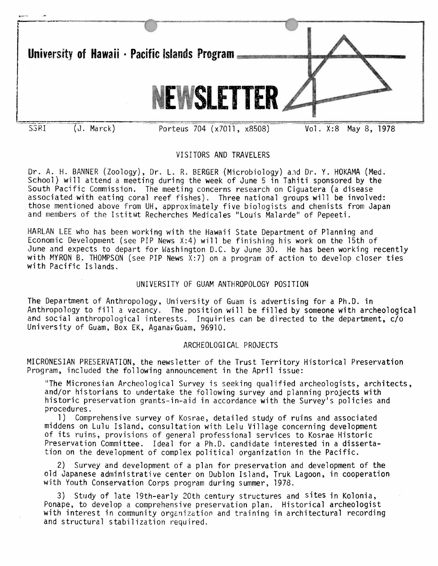

# VISITORS AND TRAVELERS

Dr. A. H. BANNER (Zoology), Dr. L. R. BERGER (Microbiology) a.1d Dr. Y. HOKAMA (Med. School) will attend a meeting during the week of June 5 in Tahiti sponsored by the South Pacific Commission. The meeting concerns research on Ciguatera (a disease associated with eating coral reef fishes). Three national groups will be involved: those mentioned above from UH, approximately five biologists and chemists from Japan and members of the Istitut Recherches Medicales "Louis Malarde" of Pepeeti.

HARLAN LEE who has been working with the Hawaii State Department of Planning and Economic Development (see PIP News X:4) will be finishing his work on the 15th of June and expects to depart for Washington D.C. by June 30. He has been working recently with MYRON B. THOMPSON (see PIP News  $X:7$ ) on a program of action to develop closer ties with Pacific Islands.

## UNIVERSITY OF GUAM ANTHROPOLOGY POSITION

The Department of Anthropology, University of Guam is advertising for a Ph.D. in Anthropology to fill a vacancy. The position will be filled by someone with archeological and social anthropological interests. Inquiries can be directed to the department, c/o University of Guam, Box EK, Agana; Guam, 96910.

### ARCHEOLOGICAL PROJECTS

MICRONESIAN PRESERVATION, the newsletter of the Trust Territory Historical Preservation Program, included the following announcement in the April issue:

"The Micronesian Archeological Survey is seeking qualified archeologists, architects, and/or historians to undertake the following survey and planning projects with historic preservation grants-in-aid in accordance with the Survey's policies and procedures.

1) Comprehensive survey of Kosrae, detailed study of ruins and associated middens on Lulu Island, consultation with Lelu Village concerning development of its ruins, provisions of general professional services to Kosrae Historic Preservation Committee. Ideal for a Ph.D. candidate interested in a dissertation on the development of complex political organization in the Pacific.

2) Survey and development of a plan for preservation and development of the old Japanese administrative center on Dublon Island, Truk Lagoon, in cooperation with Youth Conservation Corps program during summer, 1978.

3) Study of late 19th-early 20th century structures and sites in Kolonia,<br>Ponape, to develop a comprehensive preservation plan. Historical archeologist with interest in community organization and training in architectural recording and structural stabilization required.